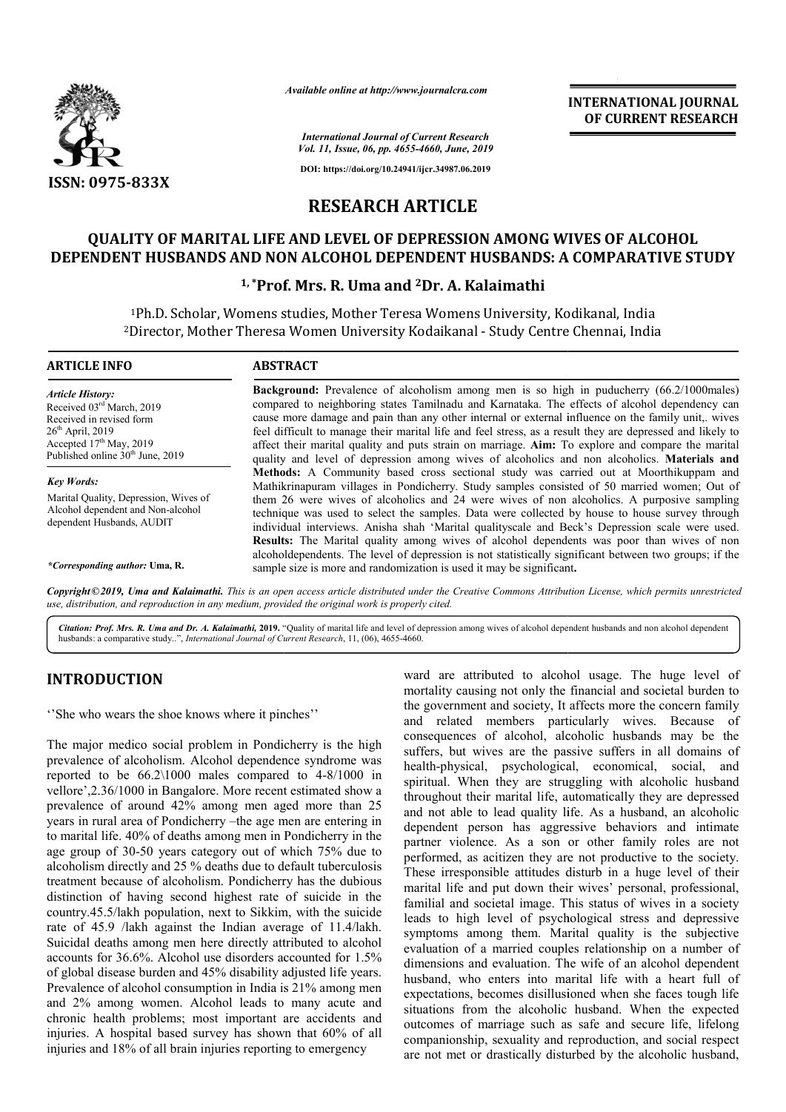

*Available online at http://www.journalcra.com*

**INTERNATIONAL JOURNAL OF CURRENT RESEARCH**

*International Journal of Current Research Vol. 11, Issue, 06, pp. 4655-4660, June, 2019*

**DOI: https://doi.org/10.24941/ijcr.34987.06.2019**

# **RESEARCH ARTICLE**

# **QUALITY OF MARITAL LIFE AND LEVEL OF DEPRESSION AMONG WIVES OF ALCOHOL**  QUALITY OF MARITAL LIFE AND LEVEL OF DEPRESSION AMONG WIVES OF ALCOHOL<br>DEPENDENT HUSBANDS AND NON ALCOHOL DEPENDENT HUSBANDS: A COMPARATIVE STUDY

### **1, \*Prof. Prof. Mrs. R. Uma and 2Dr. A. Kalaimathi**

<sup>1</sup>Ph.D. Scholar, Womens studies, Mother Teresa Womens University, Kodikanal, India <sup>2</sup>Director, Mother Theresa Women University Kodaikanal - Study Centre Chennai, India

| <b>ARTICLE INFO</b>                                                                                                                                                                 | <b>ABSTRACT</b>                                                                                                                                                                                                                                                                                                                                                                                                                                                                                                                                                                                                         |  |  |  |  |  |  |
|-------------------------------------------------------------------------------------------------------------------------------------------------------------------------------------|-------------------------------------------------------------------------------------------------------------------------------------------------------------------------------------------------------------------------------------------------------------------------------------------------------------------------------------------------------------------------------------------------------------------------------------------------------------------------------------------------------------------------------------------------------------------------------------------------------------------------|--|--|--|--|--|--|
| <b>Article History:</b><br>Received 03rd March, 2019<br>Received in revised form<br>$26th$ April, 2019<br>Accepted $17th$ May, 2019<br>Published online 30 <sup>th</sup> June, 2019 | <b>Background:</b> Prevalence of alcoholism among men is so high in puducherry (66.2/1000males)<br>compared to neighboring states Tamilnadu and Karnataka. The effects of alcohol dependency can<br>cause more damage and pain than any other internal or external influence on the family unit, wives<br>feel difficult to manage their marital life and feel stress, as a result they are depressed and likely to<br>affect their marital quality and puts strain on marriage. Aim: To explore and compare the marital<br>quality and level of depression among wives of alcoholics and non alcoholics. Materials and |  |  |  |  |  |  |
| <b>Key Words:</b>                                                                                                                                                                   | <b>Methods:</b> A Community based cross sectional study was carried out at Moorthikuppam and<br>Mathikrinapuram villages in Pondicherry. Study samples consisted of 50 married women; Out of                                                                                                                                                                                                                                                                                                                                                                                                                            |  |  |  |  |  |  |
| Marital Quality, Depression, Wives of<br>Alcohol dependent and Non-alcohol<br>dependent Husbands, AUDIT                                                                             | them 26 were wives of alcoholics and 24 were wives of non alcoholics. A purposive sampling<br>technique was used to select the samples. Data were collected by house to house survey through<br>individual interviews. Anisha shah 'Marital qualityscale and Beck's Depression scale were used.<br><b>Results:</b> The Marital quality among wives of alcohol dependents was poor than wives of non<br>alcoholdependents. The level of depression is not statistically significant between two groups; if the                                                                                                           |  |  |  |  |  |  |

*\*Corresponding author:* **Uma, R.**

Copyright©2019, Uma and Kalaimathi. This is an open access article distributed under the Creative Commons Attribution License, which permits unrestrictea *use, distribution, and reproduction in any medium, provided the original work is properly cited.*

sample size is more and randomization is used it may be significant **.**

Citation: Prof. Mrs. R. Uma and Dr. A. Kalaimathi, 2019. "Quality of marital life and level of depression among wives of alcohol dependent husbands and non alcohol dependent husbands: a comparative study..", *International Journal of Current Research*, 11, (06), 4655-4660.

# **INTRODUCTION**

''She who wears the shoe knows where it pinches''

The major medico social problem in Pondicherry is the high prevalence of alcoholism. Alcohol dependence syndrome was reported to be 66.2\1000 males compared to 4-8/1000 in vellore',2.36/1000 in Bangalore. More recent estimated show a prevalence of around 42% among men aged more than 25 years in rural area of Pondicherry –the age men are entering in to marital life. 40% of deaths among men in Pondicherry in the age group of 30-50 years category out of which 75% due to alcoholism directly and 25 % deaths due to default tuberculosis treatment because of alcoholism. Pondicherry has the dubious distinction of having second highest rate of suicide in the country.45.5/lakh population, next to Sikkim, with the suicide rate of 45.9 /lakh against the Indian average of 11.4/lakh. Suicidal deaths among men here directly attributed to alcohol accounts for 36.6%. Alcohol use disorders accounted for 1.5% of global disease burden and 45% disability adjusted life years. Prevalence of alcohol consumption in India is 21% among men and 2% among women. Alcohol leads to many acute and chronic health problems; most important are accidents and injuries. A hospital based survey has shown that 60% of all injuries and 18% of all brain injuries reporting to emergency a of Pondicherry –the<br>% of deaths among m<br>50 years category ou

**IDCTION** ward are attributed to alcohol usage. The<br>
mortality causing not only the financial and society, It affects more the<br>
mortality causing not only the financial and society, It affects more the<br>
or alcoholism. Alco mortality causing not only the financial and societal burden to mortality causing not only the financial and societal burden to<br>the government and society, It affects more the concern family and related members particularly wives. Because of consequences of alcohol, alcoholic husbands may be the suffers, but wives are the passive suffers in all domains of health-physical, psychological, economical, social, and spiritual. When they are struggling with alcoholic husband throughout their marital life, automatically they are depressed spiritual. When they are struggling with alcoholic husband throughout their marital life, automatically they are depressed and not able to lead quality life. As a husband, an alcoholic dependent person has aggressive behaviors and intimate partner violence. As a son or other family roles are not performed, as acitizen they are not productive to the society. dependent person has aggressive behaviors and intimate partner violence. As a son or other family roles are not performed, as acitizen they are not productive to the society. These irresponsible attitudes disturb in a huge marital life and put down their wives' personal, professional, familial and societal image. This status of wives in a society leads to high level of psychological stress and depressive symptoms among them. Marital quality is the subjective evaluation of a married couples relationship on a number of dimensions and evaluation. The wife of an alcohol dependent husband, who enters into marital life with a heart full of expectations, becomes disillusioned when she faces tough life expectations, becomes disillusioned when she faces tough life situations from the alcoholic husband. When the expected outcomes of marriage such as safe and secure life, lifelong companionship, sexuality and reproduction, and social respect are not met or drastically disturbed by the alcoholic husband, ward are attributed to alcohol usage. The huge level of related members particularly wives. Because of quences of alcohol, alcoholic husbands may be the s, but wives are the passive suffers in all domains of physical, psychological, economical, social, and al and societal image. This status of wives in a society<br>to high level of psychological stress and depressive<br>oms among them. Marital quality is the subjective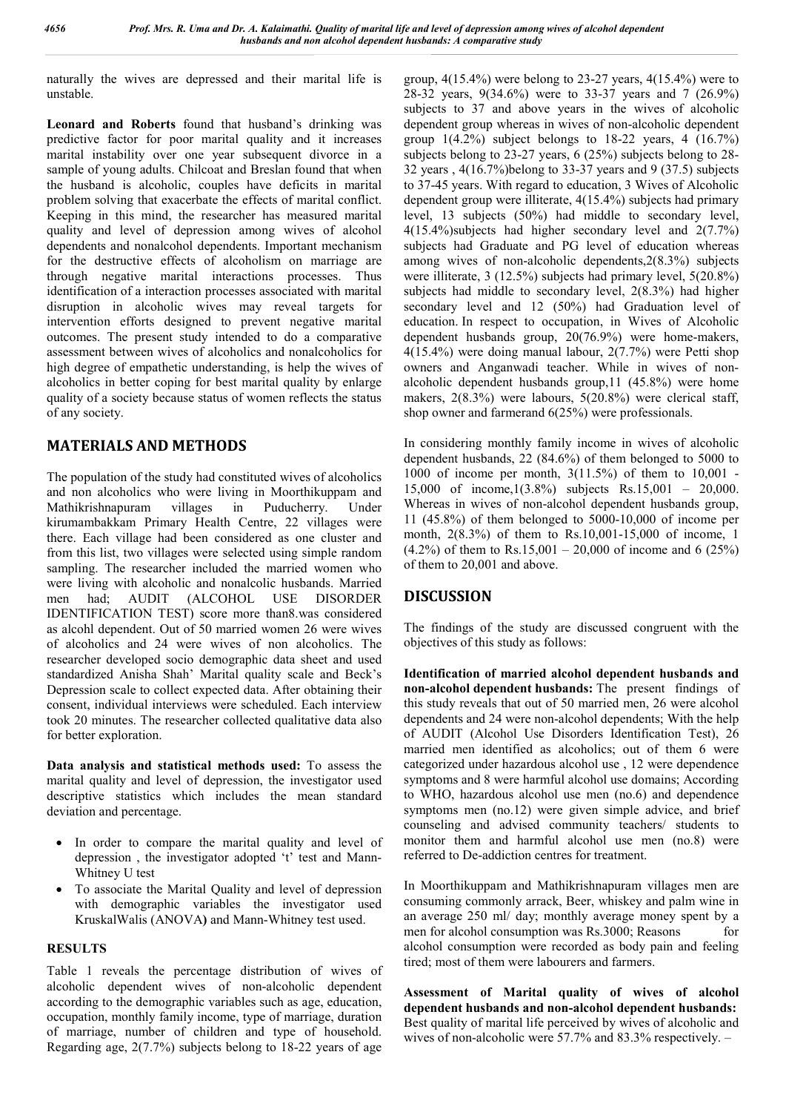naturally the wives are depressed and their marital life is unstable.

**Leonard and Roberts** found that husband's drinking was predictive factor for poor marital quality and it increases marital instability over one year subsequent divorce in a sample of young adults. Chilcoat and Breslan found that when the husband is alcoholic, couples have deficits in marital problem solving that exacerbate the effects of marital conflict. Keeping in this mind, the researcher has measured marital quality and level of depression among wives of alcohol dependents and nonalcohol dependents. Important mechanism for the destructive effects of alcoholism on marriage are through negative marital interactions processes. Thus identification of a interaction processes associated with marital disruption in alcoholic wives may reveal targets for intervention efforts designed to prevent negative marital outcomes. The present study intended to do a comparative assessment between wives of alcoholics and nonalcoholics for high degree of empathetic understanding, is help the wives of alcoholics in better coping for best marital quality by enlarge quality of a society because status of women reflects the status of any society.

### **MATERIALS AND METHODS**

The population of the study had constituted wives of alcoholics and non alcoholics who were living in Moorthikuppam and Mathikrishnapuram villages in Puducherry. Under kirumambakkam Primary Health Centre, 22 villages were there. Each village had been considered as one cluster and from this list, two villages were selected using simple random sampling. The researcher included the married women who were living with alcoholic and nonalcolic husbands. Married men had; AUDIT (ALCOHOL USE DISORDER IDENTIFICATION TEST) score more than8.was considered as alcohl dependent. Out of 50 married women 26 were wives of alcoholics and 24 were wives of non alcoholics. The researcher developed socio demographic data sheet and used standardized Anisha Shah' Marital quality scale and Beck's Depression scale to collect expected data. After obtaining their consent, individual interviews were scheduled. Each interview took 20 minutes. The researcher collected qualitative data also for better exploration.

**Data analysis and statistical methods used:** To assess the marital quality and level of depression, the investigator used descriptive statistics which includes the mean standard deviation and percentage.

- In order to compare the marital quality and level of depression , the investigator adopted 't' test and Mann-Whitney U test
- To associate the Marital Quality and level of depression with demographic variables the investigator used KruskalWalis (ANOVA**)** and Mann-Whitney test used.

### **RESULTS**

Table 1 reveals the percentage distribution of wives of alcoholic dependent wives of non-alcoholic dependent according to the demographic variables such as age, education, occupation, monthly family income, type of marriage, duration of marriage, number of children and type of household. Regarding age, 2(7.7%) subjects belong to 18-22 years of age

group, 4(15.4%) were belong to 23-27 years, 4(15.4%) were to 28-32 years, 9(34.6%) were to 33-37 years and 7 (26.9%) subjects to 37 and above years in the wives of alcoholic dependent group whereas in wives of non-alcoholic dependent group  $1(4.2\%)$  subject belongs to 18-22 years, 4  $(16.7\%)$ subjects belong to 23-27 years, 6 (25%) subjects belong to 28- 32 years , 4(16.7%)belong to 33-37 years and 9 (37.5) subjects to 37-45 years. With regard to education, 3 Wives of Alcoholic dependent group were illiterate, 4(15.4%) subjects had primary level, 13 subjects (50%) had middle to secondary level, 4(15.4%)subjects had higher secondary level and 2(7.7%) subjects had Graduate and PG level of education whereas among wives of non-alcoholic dependents,2(8.3%) subjects were illiterate, 3 (12.5%) subjects had primary level, 5(20.8%) subjects had middle to secondary level, 2(8.3%) had higher secondary level and 12 (50%) had Graduation level of education. In respect to occupation, in Wives of Alcoholic dependent husbands group, 20(76.9%) were home-makers, 4(15.4%) were doing manual labour, 2(7.7%) were Petti shop owners and Anganwadi teacher. While in wives of nonalcoholic dependent husbands group,11 (45.8%) were home makers, 2(8.3%) were labours, 5(20.8%) were clerical staff, shop owner and farmerand 6(25%) were professionals.

In considering monthly family income in wives of alcoholic dependent husbands, 22 (84.6%) of them belonged to 5000 to 1000 of income per month, 3(11.5%) of them to 10,001 - 15,000 of income,1(3.8%) subjects Rs.15,001 – 20,000. Whereas in wives of non-alcohol dependent husbands group, 11 (45.8%) of them belonged to 5000-10,000 of income per month, 2(8.3%) of them to Rs.10,001-15,000 of income, 1  $(4.2\%)$  of them to Rs.15,001 – 20,000 of income and 6 (25%) of them to 20,001 and above.

# **DISCUSSION**

The findings of the study are discussed congruent with the objectives of this study as follows:

**Identification of married alcohol dependent husbands and non-alcohol dependent husbands:** The present findings of this study reveals that out of 50 married men, 26 were alcohol dependents and 24 were non-alcohol dependents; With the help of AUDIT (Alcohol Use Disorders Identification Test), 26 married men identified as alcoholics; out of them 6 were categorized under hazardous alcohol use , 12 were dependence symptoms and 8 were harmful alcohol use domains; According to WHO, hazardous alcohol use men (no.6) and dependence symptoms men (no.12) were given simple advice, and brief counseling and advised community teachers/ students to monitor them and harmful alcohol use men (no.8) were referred to De-addiction centres for treatment.

In Moorthikuppam and Mathikrishnapuram villages men are consuming commonly arrack, Beer, whiskey and palm wine in an average 250 ml/ day; monthly average money spent by a men for alcohol consumption was Rs.3000; Reasons for alcohol consumption were recorded as body pain and feeling tired; most of them were labourers and farmers.

**Assessment of Marital quality of wives of alcohol dependent husbands and non-alcohol dependent husbands:** Best quality of marital life perceived by wives of alcoholic and wives of non-alcoholic were 57.7% and 83.3% respectively. –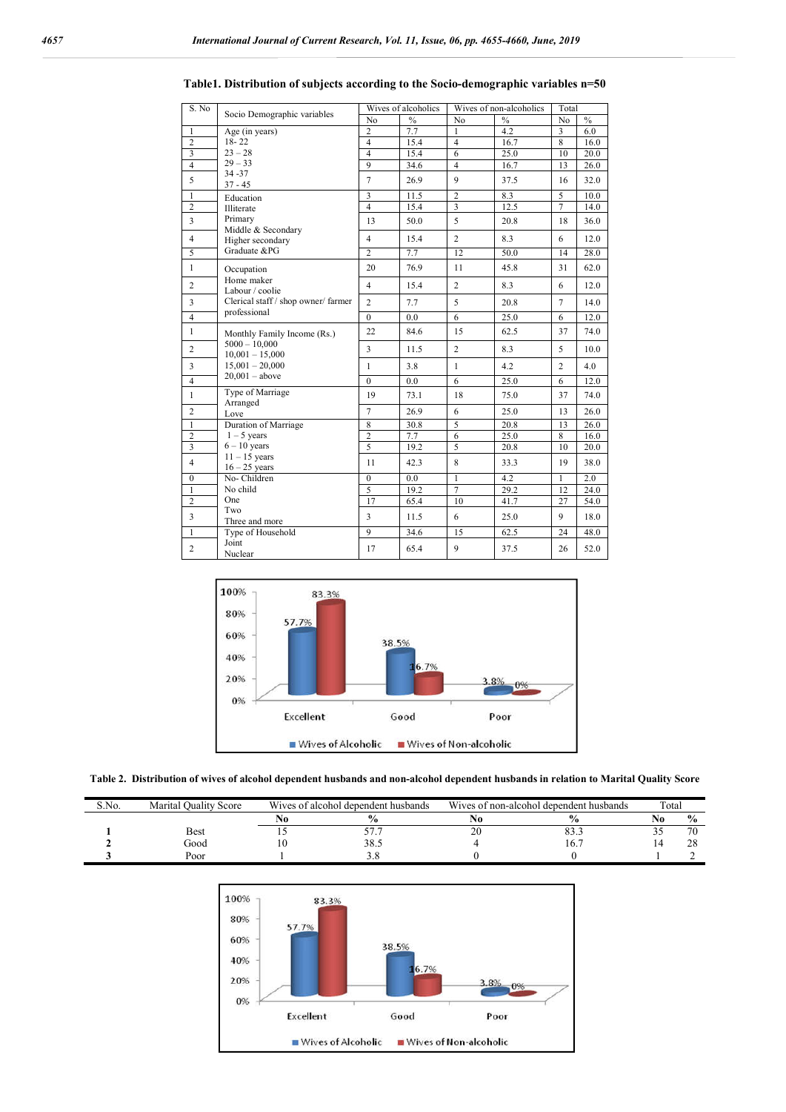| S. No                   | Socio Demographic variables                         |                | Wives of alcoholics | Wives of non-alcoholics | Total         |                         |               |
|-------------------------|-----------------------------------------------------|----------------|---------------------|-------------------------|---------------|-------------------------|---------------|
|                         |                                                     | No             | $\frac{0}{0}$       | No                      | $\frac{0}{0}$ | No                      | $\frac{0}{0}$ |
| $\overline{1}$          | Age (in years)                                      | $\overline{2}$ | 7.7                 | $\mathbf{1}$            | 4.2           | $\overline{\mathbf{3}}$ | 6.0           |
| $\overline{2}$          | $18 - 22$                                           | $\overline{4}$ | 15.4                | $\overline{4}$          | 16.7          | 8                       | 16.0          |
| $\overline{\mathbf{3}}$ | $23 - 28$                                           | $\overline{4}$ | 15.4                | 6                       | 25.0          | 10                      | 20.0          |
| $\overline{4}$          | $29 - 33$                                           | $\overline{9}$ | 34.6                | $\overline{4}$          | 16.7          | 13                      | 26.0          |
| 5                       | $34 - 37$<br>$37 - 45$                              | $\overline{7}$ | 26.9                | $\mathbf{Q}$            | 37.5          | 16                      | 32.0          |
| $\overline{1}$          | Education                                           | $\overline{3}$ | 11.5                | $\overline{2}$          | 8.3           | 5                       | 10.0          |
| $\overline{2}$          | Illiterate                                          | $\overline{4}$ | 15.4                | $\overline{\mathbf{3}}$ | 12.5          | $\overline{7}$          | 14.0          |
| $\overline{\mathbf{3}}$ | Primary<br>Middle & Secondary                       | 13             | 50.0                | 5                       | 20.8          | 18                      | 36.0          |
| $\overline{4}$          | Higher secondary                                    | $\overline{4}$ | 15.4                | $\overline{2}$          | 8.3           | 6                       | 12.0          |
| 5                       | Graduate &PG                                        | $\overline{2}$ | 7.7                 | 12                      | 50.0          | 14                      | 28.0          |
| $\mathbf{1}$            | Occupation                                          | 20             | 76.9                | 11                      | 45.8          | 31                      | 62.0          |
| $\overline{2}$          | Home maker<br>Labour / coolie                       | $\overline{4}$ | 15.4                | $\overline{2}$          | 8.3           | 6                       | 12.0          |
| $\overline{3}$          | Clerical staff / shop owner/ farmer<br>professional | $\overline{2}$ | 7.7                 | 5                       | 20.8          | $\overline{7}$          | 14.0          |
| $\overline{4}$          |                                                     | $\theta$       | 0.0                 | $\overline{6}$          | 25.0          | 6                       | 12.0          |
| $\mathbf{1}$            | Monthly Family Income (Rs.)                         | 22             | 84.6                | 15                      | 62.5          | 37                      | 74.0          |
| $\overline{c}$          | $5000 - 10,000$<br>$10,001 - 15,000$                | 3              | 11.5                | $\overline{c}$          | 8.3           | 5                       | 10.0          |
| 3                       | $15,001 - 20,000$<br>$20,001 - above$               | $\mathbf{1}$   | 3.8                 | $\mathbf{1}$            | 4.2           | $\overline{c}$          | 4.0           |
| $\overline{4}$          |                                                     | $\mathbf{0}$   | 0.0                 | 6                       | 25.0          | 6                       | 12.0          |
| $\mathbf{1}$            | Type of Marriage<br>Arranged                        | 19             | 73.1                | 18                      | 75.0          | 37                      | 74.0          |
| $\overline{c}$          | Love                                                | $\overline{7}$ | 26.9                | 6                       | 25.0          | 13                      | 26.0          |
| $\overline{1}$          | Duration of Marriage                                | $\overline{8}$ | 30.8                | $\overline{5}$          | 20.8          | 13                      | 26.0          |
|                         | $1 - 5$ years                                       | $\overline{2}$ | 7.7                 | 6                       | 25.0          | 8                       | 16.0          |
| $\frac{2}{3}$           | $6 - 10$ years                                      | $\overline{5}$ | 19.2                | $\overline{5}$          | 20.8          | 10                      | 20.0          |
| $\overline{4}$          | $11 - 15$ years<br>$16 - 25$ years                  | 11             | 42.3                | 8                       | 33.3          | 19                      | 38.0          |
| $\boldsymbol{0}$        | No-Children                                         | $\mathbf{0}$   | 0.0                 | $\mathbf{1}$            | 4.2           | $\mathbf{1}$            | 2.0           |
| $\overline{1}$          | No child                                            | $\overline{5}$ | 19.2                | $\overline{7}$          | 29.2          | 12                      | 24.0          |
| $\overline{c}$          | One                                                 | 17             | 65.4                | 10                      | 41.7          | 27                      | 54.0          |
| $\overline{\mathbf{3}}$ | Two<br>Three and more                               | 3              | 11.5                | 6                       | 25.0          | 9                       | 18.0          |
| $\overline{1}$          | Type of Household                                   | $\overline{9}$ | 34.6                | 15                      | 62.5          | 24                      | 48.0          |
| $\overline{2}$          | Joint<br>Nuclear                                    | 17             | 65.4                | 9                       | 37.5          | 26                      | 52.0          |

**Table1. Distribution of subjects according to the Socio-demographic variables n=50**





| S.No. | Marital <sup>(</sup><br>Quality Score |           | Wives of alcohol dependent husbands | Wives of non-alcohol dependent husbands | Total |    |               |
|-------|---------------------------------------|-----------|-------------------------------------|-----------------------------------------|-------|----|---------------|
|       |                                       |           | $\frac{0}{0}$                       |                                         |       | мu | $\frac{6}{9}$ |
|       | Best                                  |           |                                     | $\sim$<br>∠∪                            | o o   |    | 70            |
|       | boot                                  | $\cdot$ v | 38.5                                |                                         | 10.   |    | ጎር            |
|       | Poor                                  |           |                                     |                                         |       |    |               |

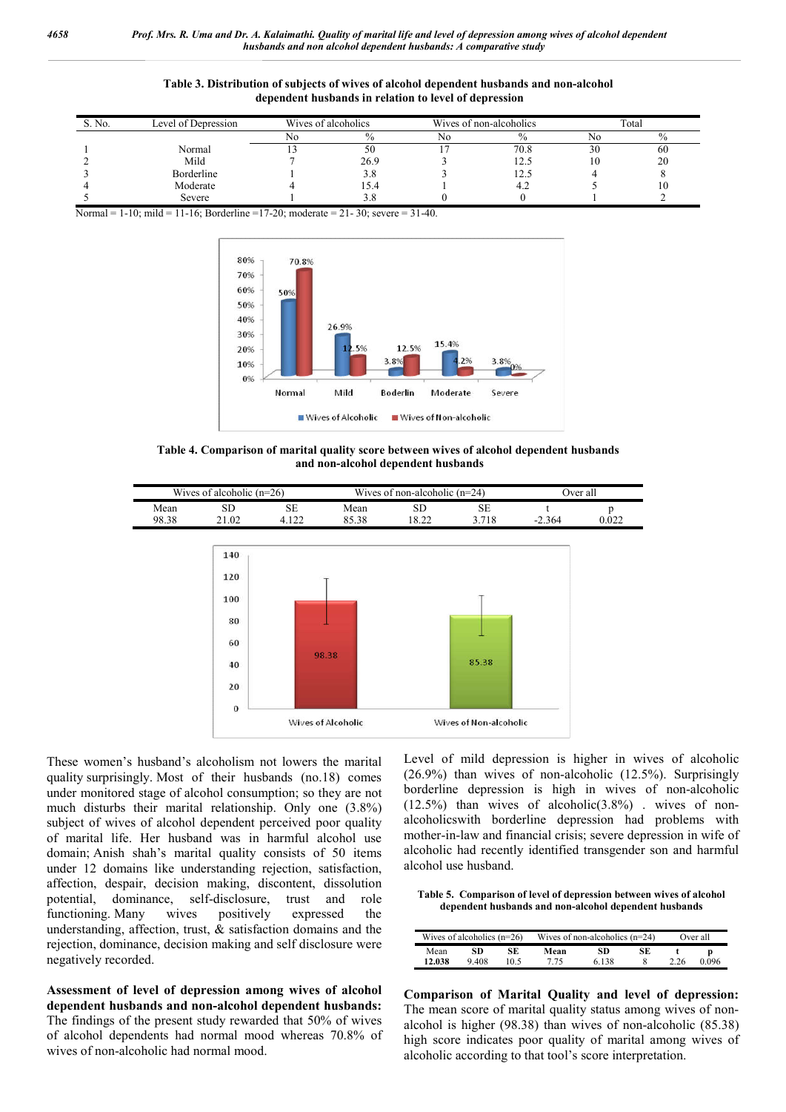#### **Table 3. Distribution of subjects of wives of alcohol dependent husbands and non-alcohol dependent husbands in relation to level of depression**

| S. No. | Level of Depression | Wives of alcoholics |      |    | Wives of non-alcoholics | Total |      |  |
|--------|---------------------|---------------------|------|----|-------------------------|-------|------|--|
|        |                     | No                  |      | No | $\%$                    |       | $\%$ |  |
|        | Normal              |                     | 50   |    | 70.8                    | 30    | 60   |  |
|        | Mild                |                     | 26.9 |    | 12.5                    | 10    | 20   |  |
|        | Borderline          |                     | 3.8  |    |                         |       |      |  |
|        | Moderate            |                     | 5.4  |    |                         |       | 10   |  |
|        | Severe              |                     |      |    |                         |       |      |  |

Normal = 1-10; mild = 11-16; Borderline =17-20; moderate = 21-30; severe = 31-40.



**Table 4. Comparison of marital quality score between wives of alcohol dependent husbands and non-alcohol dependent husbands**



These women's husband's alcoholism not lowers the marital quality surprisingly. Most of their husbands (no.18) comes under monitored stage of alcohol consumption; so they are not much disturbs their marital relationship. Only one (3.8%) subject of wives of alcohol dependent perceived poor quality of marital life. Her husband was in harmful alcohol use domain; Anish shah's marital quality consists of 50 items under 12 domains like understanding rejection, satisfaction, affection, despair, decision making, discontent, dissolution potential, dominance, self-disclosure, trust and role functioning. Many wives positively expressed the understanding, affection, trust, & satisfaction domains and the rejection, dominance, decision making and self disclosure were negatively recorded.

**Assessment of level of depression among wives of alcohol dependent husbands and non-alcohol dependent husbands:** The findings of the present study rewarded that 50% of wives of alcohol dependents had normal mood whereas 70.8% of wives of non-alcoholic had normal mood.

Level of mild depression is higher in wives of alcoholic (26.9%) than wives of non-alcoholic (12.5%). Surprisingly borderline depression is high in wives of non-alcoholic  $(12.5\%)$  than wives of alcoholic $(3.8\%)$ . wives of nonalcoholicswith borderline depression had problems with mother-in-law and financial crisis; severe depression in wife of alcoholic had recently identified transgender son and harmful alcohol use husband.

**Table 5. Comparison of level of depression between wives of alcohol dependent husbands and non-alcohol dependent husbands**

|        | Wives of alcoholics $(n=26)$ |      |      | Wives of non-alcoholics $(n=24)$ |    | Over all |       |  |
|--------|------------------------------|------|------|----------------------------------|----|----------|-------|--|
| Mean   | SD                           | SE   | Mean | SD                               | SE |          | D     |  |
| 12.038 | 9408                         | 10.5 | 7 75 | 6 138                            |    | 2.26     | 0.096 |  |

**Comparison of Marital Quality and level of depression:** The mean score of marital quality status among wives of nonalcohol is higher (98.38) than wives of non-alcoholic (85.38) high score indicates poor quality of marital among wives of alcoholic according to that tool's score interpretation.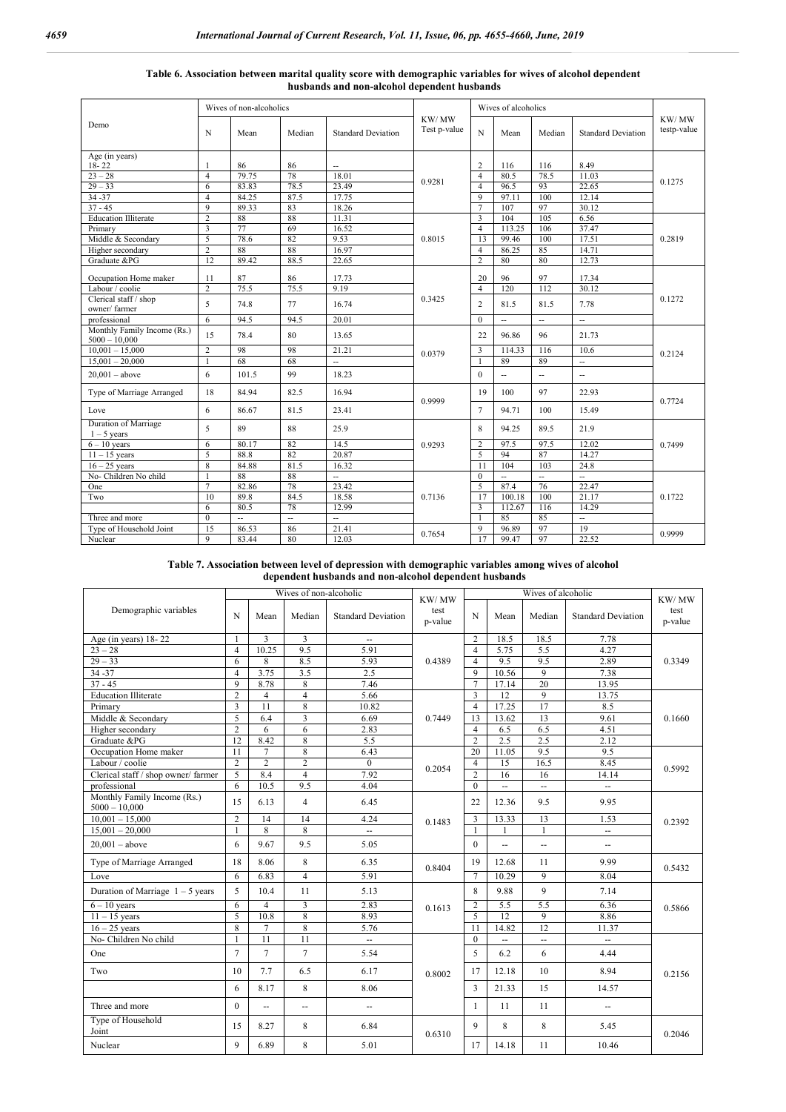|                                                |                               | Wives of non-alcoholics |                | Wives of alcoholics       |                       |                                  |                |                             |                           |                      |
|------------------------------------------------|-------------------------------|-------------------------|----------------|---------------------------|-----------------------|----------------------------------|----------------|-----------------------------|---------------------------|----------------------|
| Demo                                           | N                             | Mean                    | Median         | <b>Standard Deviation</b> | KW/MW<br>Test p-value | N                                | Mean           | Median                      | <b>Standard Deviation</b> | KW/MW<br>testp-value |
| Age (in years)                                 |                               |                         |                |                           |                       |                                  |                |                             |                           |                      |
| $18 - 22$<br>$23 - 28$                         | $\mathbf{1}$                  | 86                      | 86<br>78       | $\sim$<br>18.01           |                       | $\overline{c}$                   | 116            | 116                         | 8.49                      |                      |
| $29 - 33$                                      | $\overline{4}$                | 79.75<br>83.83          | 78.5           | 23.49                     | 0.9281                | $\overline{4}$<br>$\overline{4}$ | 80.5<br>96.5   | 78.5<br>93                  | 11.03<br>22.65            | 0.1275               |
|                                                | 6                             |                         |                |                           |                       | 9                                |                | 100                         |                           |                      |
| 34 - 37<br>$37 - 45$                           | $\overline{4}$<br>$\mathbf Q$ | 84.25<br>89.33          | 87.5<br>83     | 17.75<br>18.26            |                       | $\overline{7}$                   | 97.11<br>107   | 97                          | 12.14<br>30.12            |                      |
| <b>Education Illiterate</b>                    | $\overline{2}$                | 88                      | 88             | 11.31                     |                       | 3                                | 104            | 105                         | 6.56                      |                      |
| Primary                                        | $\overline{\mathbf{3}}$       | 77                      | 69             | 16.52                     |                       | $\overline{4}$                   | 113 25         | 106                         | 37.47                     |                      |
| Middle & Secondary                             | 5                             | 78.6                    | 82             | 9.53                      | 0.8015                | 13                               | 99.46          | 100                         | 17.51                     | 0.2819               |
| Higher secondary                               | $\overline{2}$                | 88                      | 88             | 16.97                     |                       | $\overline{4}$                   | 86.25          | 85                          | 14.71                     |                      |
| Graduate &PG                                   | 12                            | 89.42                   | 88.5           | 22.65                     |                       | $\overline{2}$                   | 80             | 80                          | 12.73                     |                      |
|                                                |                               |                         |                |                           |                       |                                  |                |                             |                           |                      |
| Occupation Home maker                          | 11                            | 87                      | 86             | 17.73                     |                       | 20                               | 96             | 97                          | 17.34                     |                      |
| Labour / coolie                                | $\overline{c}$                | 75.5                    | 75.5           | 9.19                      | 0.3425                | $\overline{4}$                   | 120            | 112                         | 30.12                     | 0.1272               |
| Clerical staff / shop<br>owner/farmer          | 5                             | 74.8                    | 77             | 16.74                     |                       | $\overline{c}$                   | 81.5           | 81.5                        | 7.78                      |                      |
| professional                                   | 6                             | 94.5                    | 94.5           | 20.01                     |                       | $\Omega$                         | u.             | $\mathcal{L}_{\mathcal{L}}$ | $\overline{\phantom{a}}$  |                      |
| Monthly Family Income (Rs.)<br>$5000 - 10,000$ | 15                            | 78.4                    | 80             | 13.65                     |                       | 22                               | 96.86          | 96                          | 21.73                     |                      |
| $10,001 - 15,000$                              | $\overline{2}$                | 98                      | 98             | 21.21                     | 0.0379                | 3                                | 114.33         | 116                         | 10.6                      | 0.2124               |
| $15,001 - 20,000$                              | $\mathbf{1}$                  | 68                      | 68             | L.                        |                       |                                  | 89             | 89                          | $\sim$                    |                      |
| $20.001 - above$                               | 6                             | 101.5                   | 99             | 18.23                     |                       | $\theta$                         | $\overline{a}$ | Ξ.                          | $\overline{a}$            |                      |
| Type of Marriage Arranged                      | 18                            | 84.94                   | 82.5           | 16.94                     | 0.9999                | 19                               | 100            | 97                          | 22.93                     | 0.7724               |
| Love                                           | 6                             | 86.67                   | 81.5           | 23.41                     |                       | $\overline{7}$                   | 94.71          | 100                         | 15.49                     |                      |
| Duration of Marriage<br>$1 - 5$ years          | 5                             | 89                      | 88             | 25.9                      |                       | 8                                | 94.25          | 89.5                        | 21.9                      |                      |
| $6 - 10$ years                                 | 6                             | 80.17                   | 82             | 14.5                      | 0.9293                | $\overline{c}$                   | 97.5           | 97.5                        | 12.02                     | 0.7499               |
| $11 - 15$ years                                | 5                             | 88.8                    | 82             | 20.87                     |                       | 5                                | 94             | 87                          | 14.27                     |                      |
| $16 - 25$ years                                | 8                             | 84.88                   | 81.5           | 16.32                     |                       | 11                               | 104            | 103                         | 24.8                      |                      |
| No- Children No child                          | $\mathbf{1}$                  | 88                      | 88             | L.                        |                       | $\Omega$                         | $\sim$         | $\overline{\phantom{a}}$    | $\sim$                    |                      |
| One                                            | $\tau$                        | 82.86                   | 78             | 23.42                     |                       | 5                                | 87.4           | 76                          | 22.47                     |                      |
| Two                                            | 10                            | 89.8                    | 84.5           | 18.58                     | 0.7136                | 17                               | 100.18         | 100                         | 21.17                     | 0.1722               |
|                                                | 6                             | 80.5                    | 78             | 12.99                     |                       | 3                                | 112.67         | 116                         | 14.29                     |                      |
| Three and more                                 | $\Omega$                      | ÷.                      | $\overline{a}$ | ă.                        |                       |                                  | 85             | 85                          | $\sim$                    |                      |
| Type of Household Joint                        | 15                            | 86.53                   | 86             | 21.41                     | 0.7654                | 9                                | 96.89          | 97                          | 19                        | 0.9999               |
| Nuclear                                        | 9                             | 83.44                   | 80             | 12.03                     |                       | 17                               | 99.47          | 97                          | 22.52                     |                      |

#### **Table 6. Association between marital quality score with demographic variables for wives of alcohol dependent husbands and non-alcohol dependent husbands**

**Table 7. Association between level of depression with demographic variables among wives of alcohol dependent husbands and non-alcohol dependent husbands**

|                                                |                |                | Wives of non-alcoholic |                             |                          |                | KW/MW          |                          |                           |                 |
|------------------------------------------------|----------------|----------------|------------------------|-----------------------------|--------------------------|----------------|----------------|--------------------------|---------------------------|-----------------|
| Demographic variables                          | N              | Mean           | Median                 | <b>Standard Deviation</b>   | KW/MW<br>test<br>p-value | N              | Mean           | Median                   | <b>Standard Deviation</b> | test<br>p-value |
| Age (in years) $18-22$                         | $\mathbf{1}$   | 3              | 3                      | $\overline{a}$              |                          | $\overline{c}$ | 18.5           | 18.5                     | 7.78                      |                 |
| $23 - 28$                                      | $\overline{4}$ | 10.25          | 9.5                    | 5.91                        | 0.4389                   | $\overline{4}$ | 5.75           | 5.5                      | 4.27                      | 0.3349          |
| $29 - 33$                                      | 6              | 8              | 8.5                    | 5.93                        |                          | $\overline{4}$ | 9.5            | 9.5                      | 2.89                      |                 |
| $34 - 37$                                      | $\overline{4}$ | 3.75           | 3.5                    | 2.5                         |                          | 9              | 10.56          | 9                        | 7.38                      |                 |
| $37 - 45$                                      | 9              | 8.78           | 8                      | 7.46                        |                          | $\overline{7}$ | 17.14          | 20                       | 13.95                     |                 |
| <b>Education Illiterate</b>                    | $\overline{c}$ | $\overline{4}$ | $\overline{4}$         | 5.66                        |                          | 3              | 12             | 9                        | 13.75                     |                 |
| Primary                                        | $\overline{3}$ | 11             | $\,$ 8 $\,$            | 10.82                       |                          | $\overline{4}$ | 17.25          | 17                       | 8.5                       |                 |
| Middle & Secondary                             | 5              | 6.4            | $\overline{3}$         | 6.69                        | 0.7449                   | 13             | 13.62          | 13                       | 9.61                      | 0.1660          |
| Higher secondary                               | $\overline{c}$ | 6              | 6                      | 2.83                        |                          | $\overline{4}$ | 6.5            | 6.5                      | 4.51                      |                 |
| Graduate &PG                                   | 12             | 8.42           | 8                      | 5.5                         |                          | $\overline{c}$ | 2.5            | 2.5                      | $2.\overline{12}$         |                 |
| Occupation Home maker                          | 11             | 7              | 8                      | 6.43                        |                          | 20             | 11.05          | 9.5                      | 9.5                       |                 |
| Labour / coolie                                | $\overline{c}$ | $\overline{2}$ | $\overline{c}$         | $\mathbf{0}$                | 0.2054                   | 4              | 15             | 16.5                     | 8.45                      | 0.5992          |
| Clerical staff / shop owner/ farmer            | 5              | 8.4            | $\overline{4}$         | 7.92                        |                          | $\overline{2}$ | 16             | 16                       | 14.14                     |                 |
| professional                                   | 6              | 10.5           | 9.5                    | 4.04                        |                          | $\theta$       | $\overline{a}$ | $\overline{a}$           | ш,                        |                 |
| Monthly Family Income (Rs.)<br>$5000 - 10,000$ | 15             | 6.13           | $\overline{4}$         | 6.45                        |                          | 22             | 12.36          | 9.5                      | 9.95                      |                 |
| $10,001 - 15,000$                              | $\overline{c}$ | 14             | 14                     | 4.24                        | 0.1483                   | 3              | 13.33          | 13                       | 1.53                      | 0.2392          |
| $15,001 - 20,000$                              | $\mathbf{1}$   | $\overline{8}$ | $\overline{8}$         | $\overline{a}$              |                          | 1              |                | $\mathbf{1}$             | $\mathbb{Z}^{\mathbb{Z}}$ |                 |
| $20,001 - above$                               | 6              | 9.67           | 9.5                    | 5.05                        |                          | $\Omega$       | $\mathbf{u}$   | $\overline{\phantom{a}}$ | $\overline{\phantom{a}}$  |                 |
| Type of Marriage Arranged                      | 18             | 8.06           | 8                      | 6.35                        | 0.8404                   | 19             | 12.68          | 11                       | 9.99                      | 0.5432          |
| Love                                           | 6              | 6.83           | $\overline{4}$         | 5.91                        |                          | 7              | 10.29          | 9                        | 8.04                      |                 |
| Duration of Marriage $1 - 5$ years             | 5              | 10.4           | 11                     | 5.13                        |                          | 8              | 9.88           | 9                        | 7.14                      |                 |
| $\overline{6}$ – 10 years                      | 6              | $\overline{4}$ | 3                      | 2.83                        | 0.1613                   | $\overline{c}$ | 5.5            | 5.5                      | 6.36                      | 0.5866          |
| $11 - 15$ years                                | 5              | 10.8           | 8                      | 8.93                        |                          | 5              | 12             | 9                        | 8.86                      |                 |
| $16 - 25$ years                                | 8              | $\overline{7}$ | $\,$ 8 $\,$            | 5.76                        |                          | 11             | 14.82          | 12                       | 11.37                     |                 |
| No- Children No child                          | $\mathbf{1}$   | 11             | $\overline{11}$        | $\mathcal{L}_{\mathcal{A}}$ |                          | $\Omega$       | ÷.             | $\overline{\phantom{a}}$ | $\mathbf{u}$              |                 |
| One                                            | $\overline{7}$ | $\overline{7}$ | $\tau$                 | 5.54                        |                          | 5              | 6.2            | 6                        | 4.44                      |                 |
| Two                                            | 10             | 7.7            | 6.5                    | 6.17                        | 0.8002                   | 17             | 12.18          | 10                       | 8.94                      | 0.2156          |
|                                                | 6              | 8.17           | 8                      | 8.06                        |                          | 3              | 21.33          | 15                       | 14.57                     |                 |
| Three and more                                 | $\theta$       | $\overline{a}$ | $\overline{a}$         | u.                          |                          | $\mathbf{1}$   | 11             | 11                       | $\overline{\phantom{a}}$  |                 |
| Type of Household<br>Joint                     | 15             | 8.27           | 8                      | 6.84                        | 0.6310                   | 9              | 8              | 8                        | 5.45                      | 0.2046          |
| Nuclear                                        | 9              | 6.89           | 8                      | 5.01                        |                          | 17             | 14.18          | 11                       | 10.46                     |                 |